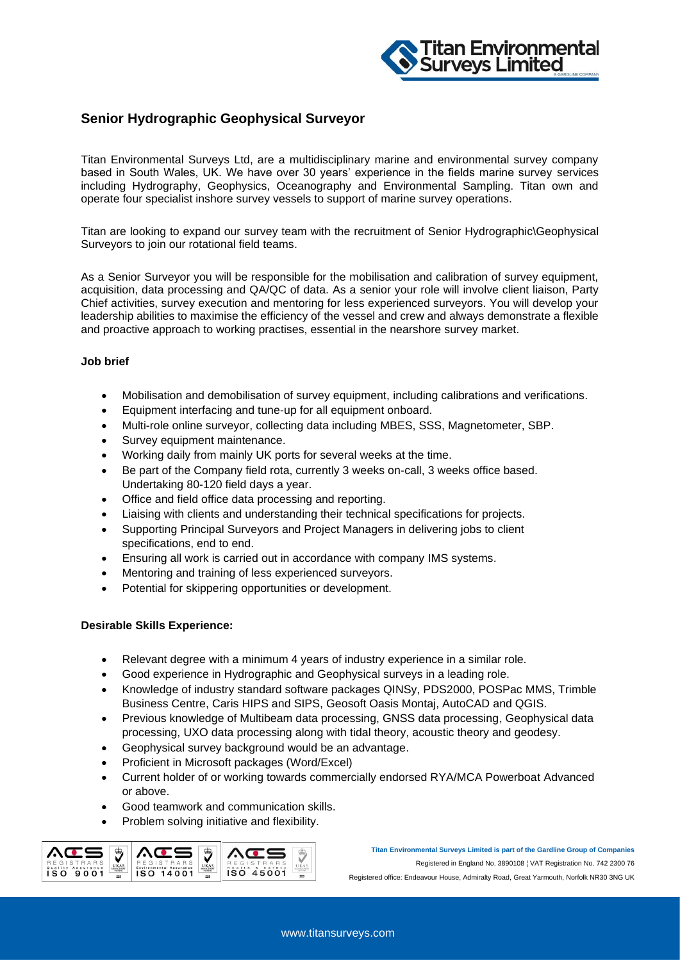

## **Senior Hydrographic Geophysical Surveyor**

Titan Environmental Surveys Ltd, are a multidisciplinary marine and environmental survey company based in South Wales, UK. We have over 30 years' experience in the fields marine survey services including Hydrography, Geophysics, Oceanography and Environmental Sampling. Titan own and operate four specialist inshore survey vessels to support of marine survey operations.

Titan are looking to expand our survey team with the recruitment of Senior Hydrographic\Geophysical Surveyors to join our rotational field teams.

As a Senior Surveyor you will be responsible for the mobilisation and calibration of survey equipment, acquisition, data processing and QA/QC of data. As a senior your role will involve client liaison, Party Chief activities, survey execution and mentoring for less experienced surveyors. You will develop your leadership abilities to maximise the efficiency of the vessel and crew and always demonstrate a flexible and proactive approach to working practises, essential in the nearshore survey market.

## **Job brief**

- Mobilisation and demobilisation of survey equipment, including calibrations and verifications.
- Equipment interfacing and tune-up for all equipment onboard.
- Multi-role online surveyor, collecting data including MBES, SSS, Magnetometer, SBP.
- Survey equipment maintenance.
- Working daily from mainly UK ports for several weeks at the time.
- Be part of the Company field rota, currently 3 weeks on-call, 3 weeks office based. Undertaking 80-120 field days a year.
- Office and field office data processing and reporting.
- Liaising with clients and understanding their technical specifications for projects.
- Supporting Principal Surveyors and Project Managers in delivering jobs to client specifications, end to end.
- Ensuring all work is carried out in accordance with company IMS systems.
- Mentoring and training of less experienced surveyors.
- Potential for skippering opportunities or development.

## **Desirable Skills Experience:**

- Relevant degree with a minimum 4 years of industry experience in a similar role.
- Good experience in Hydrographic and Geophysical surveys in a leading role.
- Knowledge of industry standard software packages QINSy, PDS2000, POSPac MMS, Trimble Business Centre, Caris HIPS and SIPS, Geosoft Oasis Montaj, AutoCAD and QGIS.
- Previous knowledge of Multibeam data processing, GNSS data processing, Geophysical data processing, UXO data processing along with tidal theory, acoustic theory and geodesy.
- Geophysical survey background would be an advantage.
- Proficient in Microsoft packages (Word/Excel)
- Current holder of or working towards commercially endorsed RYA/MCA Powerboat Advanced or above.
- Good teamwork and communication skills.
- Problem solving initiative and flexibility.



**Titan Environmental Surveys Limited is part of the Gardline Group of Companies** Registered in England No. 3890108 ¦ VAT Registration No. 742 2300 76 Registered office: Endeavour House, Admiralty Road, Great Yarmouth, Norfolk NR30 3NG UK